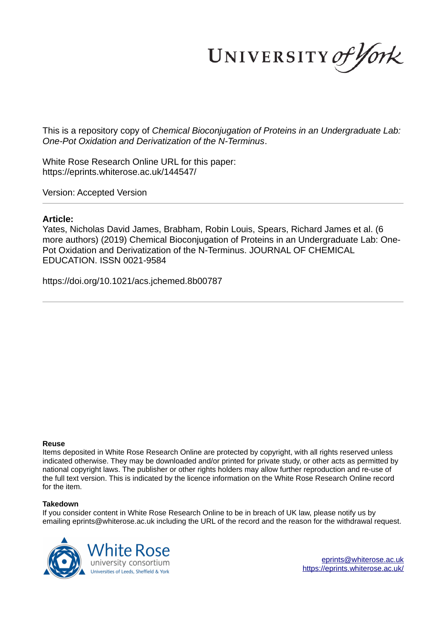UNIVERSITY of York

This is a repository copy of *Chemical Bioconjugation of Proteins in an Undergraduate Lab: One-Pot Oxidation and Derivatization of the N-Terminus*.

White Rose Research Online URL for this paper: https://eprints.whiterose.ac.uk/144547/

Version: Accepted Version

# **Article:**

Yates, Nicholas David James, Brabham, Robin Louis, Spears, Richard James et al. (6 more authors) (2019) Chemical Bioconjugation of Proteins in an Undergraduate Lab: One-Pot Oxidation and Derivatization of the N-Terminus. JOURNAL OF CHEMICAL EDUCATION. ISSN 0021-9584

https://doi.org/10.1021/acs.jchemed.8b00787

#### **Reuse**

Items deposited in White Rose Research Online are protected by copyright, with all rights reserved unless indicated otherwise. They may be downloaded and/or printed for private study, or other acts as permitted by national copyright laws. The publisher or other rights holders may allow further reproduction and re-use of the full text version. This is indicated by the licence information on the White Rose Research Online record for the item.

#### **Takedown**

If you consider content in White Rose Research Online to be in breach of UK law, please notify us by emailing eprints@whiterose.ac.uk including the URL of the record and the reason for the withdrawal request.



eprints@whiterose.ac.uk https://eprints.whiterose.ac.uk/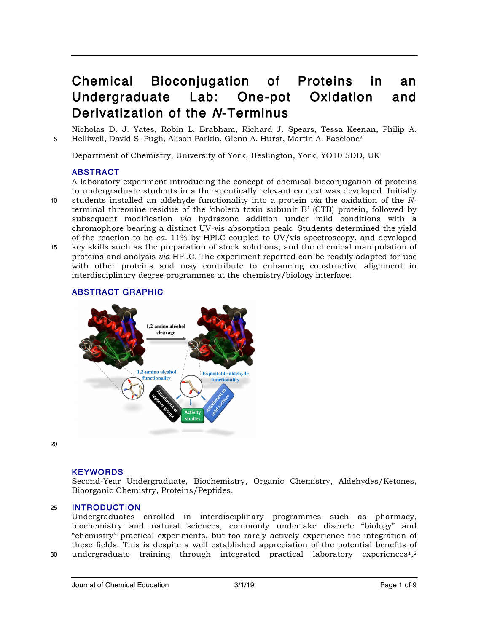# Chemical Bioconjugation of Proteins in an Undergraduate Lab: One-pot Oxidation and Derivatization of the N-Terminus

Nicholas D. J. Yates, Robin L. Brabham, Richard J. Spears, Tessa Keenan, Philip A. 5 Helliwell, David S. Pugh, Alison Parkin, Glenn A. Hurst, Martin A. Fascione\*

Department of Chemistry, University of York, Heslington, York, YO10 5DD, UK

# ABSTRACT

A laboratory experiment introducing the concept of chemical bioconjugation of proteins to undergraduate students in a therapeutically relevant context was developed. Initially 10 students installed an aldehyde functionality into a protein *via* the oxidation of the *N*terminal threonine residue of the 'cholera toxin subunit B' (CTB) protein, followed by subsequent modification *via* hydrazone addition under mild conditions with a chromophore bearing a distinct UV-vis absorption peak. Students determined the yield of the reaction to be *ca*. 11% by HPLC coupled to UV/vis spectroscopy, and developed 15 key skills such as the preparation of stock solutions, and the chemical manipulation of proteins and analysis *via* HPLC. The experiment reported can be readily adapted for use with other proteins and may contribute to enhancing constructive alignment in interdisciplinary degree programmes at the chemistry/biology interface.

# ABSTRACT GRAPHIC



20

# KEYWORDS

Second-Year Undergraduate, Biochemistry, Organic Chemistry, Aldehydes/Ketones, Bioorganic Chemistry, Proteins/Peptides.

# 25 INTRODUCTION

Undergraduates enrolled in interdisciplinary programmes such as pharmacy, biochemistry and natural sciences, commonly undertake discrete "biology" and "chemistry" practical experiments, but too rarely actively experience the integration of these fields. This is despite a well established appreciation of the potential benefits of 30  $\,$  undergraduate training through integrated practical laboratory experiences $^{1,2}$ 

Journal of Chemical Education 3/1/19 Page 1 of 9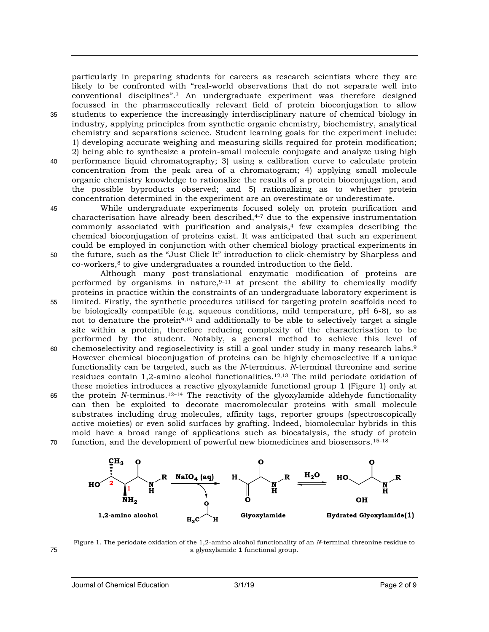particularly in preparing students for careers as research scientists where they are likely to be confronted with "real-world observations that do not separate well into conventional disciplines".<sup>3</sup> An undergraduate experiment was therefore designed focussed in the pharmaceutically relevant field of protein bioconjugation to allow 35 students to experience the increasingly interdisciplinary nature of chemical biology in industry, applying principles from synthetic organic chemistry, biochemistry, analytical chemistry and separations science. Student learning goals for the experiment include: 1) developing accurate weighing and measuring skills required for protein modification; 2) being able to synthesize a protein-small molecule conjugate and analyze using high 40 performance liquid chromatography; 3) using a calibration curve to calculate protein concentration from the peak area of a chromatogram; 4) applying small molecule organic chemistry knowledge to rationalize the results of a protein bioconjugation, and the possible byproducts observed; and 5) rationalizing as to whether protein concentration determined in the experiment are an overestimate or underestimate.

45 While undergraduate experiments focused solely on protein purification and characterisation have already been described, 4–7 due to the expensive instrumentation commonly associated with purification and analysis, $4$  few examples describing the chemical bioconjugation of proteins exist. It was anticipated that such an experiment could be employed in conjunction with other chemical biology practical experiments in 50 the future, such as the "Just Click It" introduction to click-chemistry by Sharpless and co-workers, <sup>8</sup> to give undergraduates a rounded introduction to the field.

Although many post-translational enzymatic modification of proteins are performed by organisms in nature,  $9-11$  at present the ability to chemically modify proteins in practice within the constraints of an undergraduate laboratory experiment is 55 limited. Firstly, the synthetic procedures utilised for targeting protein scaffolds need to be biologically compatible (e.g. aqueous conditions, mild temperature, pH 6-8), so as not to denature the protein<sup>9,10</sup> and additionally to be able to selectively target a single site within a protein, therefore reducing complexity of the characterisation to be performed by the student. Notably, a general method to achieve this level of

- 60 chemoselectivity and regioselectivity is still a goal under study in many research labs. $9$ However chemical bioconjugation of proteins can be highly chemoselective if a unique functionality can be targeted, such as the *N*-terminus. *N*-terminal threonine and serine residues contain  $1,2$ -amino alcohol functionalities.<sup>12,13</sup> The mild periodate oxidation of these moieties introduces a reactive glyoxylamide functional group **1** (Figure 1) only at 65 the protein *N*-terminus.<sup>12-14</sup> The reactivity of the glyoxylamide aldehyde functionality can then be exploited to decorate macromolecular proteins with small molecule substrates including drug molecules, affinity tags, reporter groups (spectroscopically active moieties) or even solid surfaces by grafting. Indeed, biomolecular hybrids in this
- mold have a broad range of applications such as biocatalysis, the study of protein  $\frac{15-18}{15-18}$  function, and the development of powerful new biomedicines and biosensors.<sup>15–18</sup>



Figure 1. The periodate oxidation of the 1,2-amino alcohol functionality of an *N*-terminal threonine residue to 75 a glyoxylamide **1** functional group.

Journal of Chemical Education 3/1/19 Page 2 of 9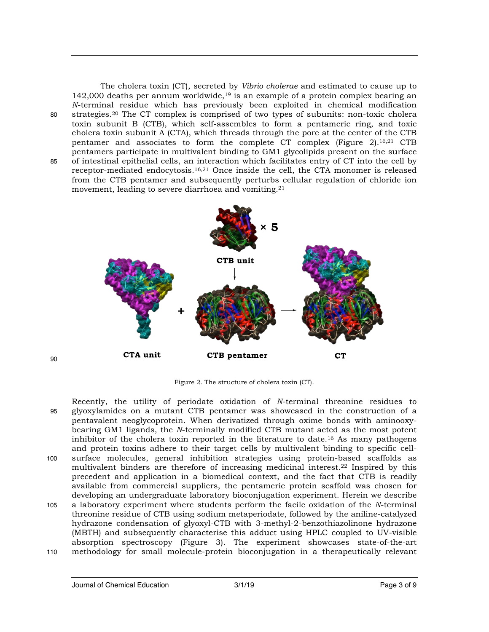$90$ 

The cholera toxin (CT), secreted by *Vibrio cholerae* and estimated to cause up to 142,000 deaths per annum worldwide,<sup>19</sup> is an example of a protein complex bearing an *N*-terminal residue which has previously been exploited in chemical modification strategies. 80 <sup>20</sup> The CT complex is comprised of two types of subunits: non-toxic cholera toxin subunit B (CTB), which self-assembles to form a pentameric ring, and toxic cholera toxin subunit A (CTA), which threads through the pore at the center of the CTB pentamer and associates to form the complete CT complex (Figure 2).16,21 CTB pentamers participate in multivalent binding to GM1 glycolipids present on the surface 85 of intestinal epithelial cells, an interaction which facilitates entry of CT into the cell by receptor-mediated endocytosis. 16,21 Once inside the cell, the CTA monomer is released from the CTB pentamer and subsequently perturbs cellular regulation of chloride ion movement, leading to severe diarrhoea and vomiting.<sup>21</sup>



Figure 2. The structure of cholera toxin (CT).

Recently, the utility of periodate oxidation of *N*-terminal threonine residues to 95 glyoxylamides on a mutant CTB pentamer was showcased in the construction of a pentavalent neoglycoprotein. When derivatized through oxime bonds with aminooxybearing GM1 ligands, the *N*-terminally modified CTB mutant acted as the most potent inhibitor of the cholera toxin reported in the literature to date. <sup>16</sup> As many pathogens and protein toxins adhere to their target cells by multivalent binding to specific cell-100 surface molecules, general inhibition strategies using protein-based scaffolds as multivalent binders are therefore of increasing medicinal interest.<sup>22</sup> Inspired by this precedent and application in a biomedical context, and the fact that CTB is readily available from commercial suppliers, the pentameric protein scaffold was chosen for developing an undergraduate laboratory bioconjugation experiment. Herein we describe 105 a laboratory experiment where students perform the facile oxidation of the *N*-terminal threonine residue of CTB using sodium metaperiodate, followed by the aniline-catalyzed hydrazone condensation of glyoxyl-CTB with 3-methyl-2-benzothiazolinone hydrazone (MBTH) and subsequently characterise this adduct using HPLC coupled to UV-visible

absorption spectroscopy (Figure 3). The experiment showcases state-of-the-art 110 methodology for small molecule-protein bioconjugation in a therapeutically relevant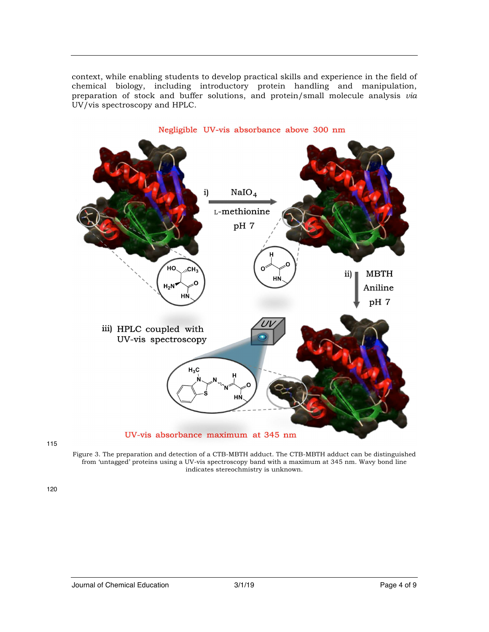

context, while enabling students to develop practical skills and experience in the field of chemical biology, including introductory protein handling and manipulation, preparation of stock and buffer solutions, and protein/small molecule analysis *via*

Figure 3. The preparation and detection of a CTB-MBTH adduct. The CTB-MBTH adduct can be distinguished from 'untagged' proteins using a UV-vis spectroscopy band with a maximum at 345 nm. Wavy bond line indicates stereochmistry is unknown.

120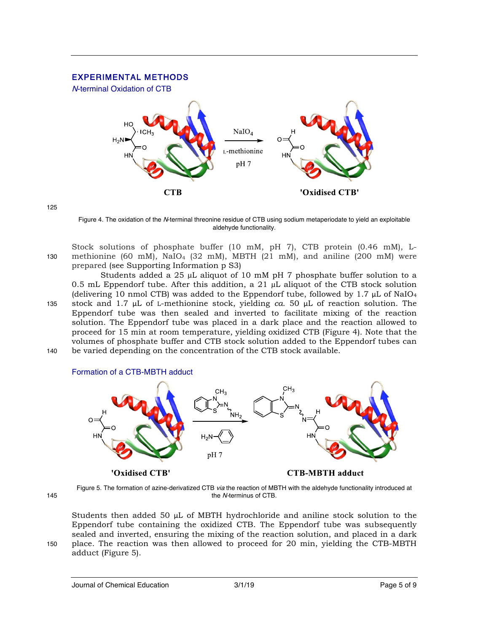# EXPERIMENTAL METHODS

N-terminal Oxidation of CTB



125

Figure 4. The oxidation of the N-terminal threonine residue of CTB using sodium metaperiodate to yield an exploitable aldehyde functionality.

Stock solutions of phosphate buffer (10 mM, pH 7), CTB protein (0.46 mM), L-130 methionine (60 mM), NaIO<sub>4</sub> (32 mM), MBTH (21 mM), and aniline (200 mM) were prepared (see Supporting Information p S3)

Students added a 25  $\mu$ L aliquot of 10 mM pH 7 phosphate buffer solution to a 0.5 mL Eppendorf tube. After this addition, a 21  $\mu$ L aliquot of the CTB stock solution (delivering 10 nmol CTB) was added to the Eppendorf tube, followed by 1.7  $\mu$ L of NaIO<sub>4</sub> 135 stock and 1.7 µL of L-methionine stock, yielding *ca.* 50 µL of reaction solution. The Eppendorf tube was then sealed and inverted to facilitate mixing of the reaction solution. The Eppendorf tube was placed in a dark place and the reaction allowed to proceed for 15 min at room temperature, yielding oxidized CTB (Figure 4). Note that the volumes of phosphate buffer and CTB stock solution added to the Eppendorf tubes can 140 be varied depending on the concentration of the CTB stock available.





Figure 5. The formation of azine-derivatized CTB via the reaction of MBTH with the aldehyde functionality introduced at 145 the N-terminus of CTB.

Students then added 50 µL of MBTH hydrochloride and aniline stock solution to the Eppendorf tube containing the oxidized CTB. The Eppendorf tube was subsequently sealed and inverted, ensuring the mixing of the reaction solution, and placed in a dark 150 place. The reaction was then allowed to proceed for 20 min, yielding the CTB-MBTH adduct (Figure 5).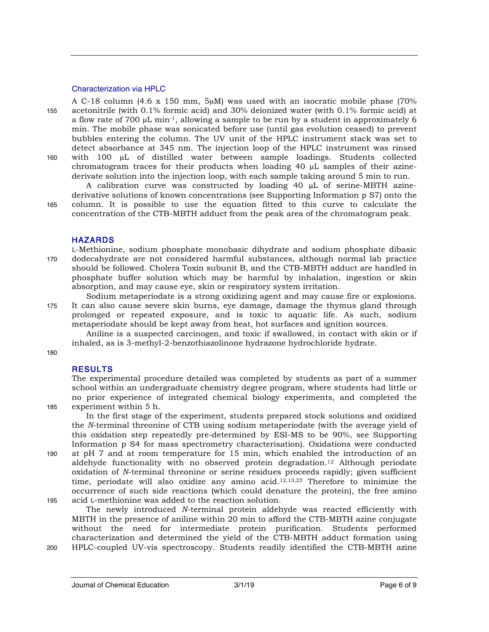#### Characterization via HPLC

A C-18 column (4.6 x 150 mm, 5µM) was used with an isocratic mobile phase (70% 155 acetonitrile (with 0.1% formic acid) and 30% deionized water (with 0.1% formic acid) at a flow rate of 700  $\mu$ L min<sup>-1</sup>, allowing a sample to be run by a student in approximately 6 min. The mobile phase was sonicated before use (until gas evolution ceased) to prevent bubbles entering the column. The UV unit of the HPLC instrument stack was set to detect absorbance at 345 nm. The injection loop of the HPLC instrument was rinsed 160 with 100 µL of distilled water between sample loadings. Students collected chromatogram traces for their products when loading 40 µL samples of their azinederivate solution into the injection loop, with each sample taking around 5 min to run.

A calibration curve was constructed by loading 40 µL of serine-MBTH azinederivative solutions of known concentrations (see Supporting Information p S7) onto the 165 column. It is possible to use the equation fitted to this curve to calculate the concentration of the CTB-MBTH adduct from the peak area of the chromatogram peak.

## **HAZARDS**

L-Methionine, sodium phosphate monobasic dihydrate and sodium phosphate dibasic 170 dodecahydrate are not considered harmful substances, although normal lab practice should be followed. Cholera Toxin subunit B, and the CTB-MBTH adduct are handled in phosphate buffer solution which may be harmful by inhalation, ingestion or skin absorption, and may cause eye, skin or respiratory system irritation.

Sodium metaperiodate is a strong oxidizing agent and may cause fire or explosions. 175 It can also cause severe skin burns, eye damage, damage the thymus gland through prolonged or repeated exposure, and is toxic to aquatic life. As such, sodium metaperiodate should be kept away from heat, hot surfaces and ignition sources.

Aniline is a suspected carcinogen, and toxic if swallowed, in contact with skin or if inhaled, as is 3-methyl-2-benzothiazolinone hydrazone hydrochloride hydrate.

180

# **RESULTS**

The experimental procedure detailed was completed by students as part of a summer school within an undergraduate chemistry degree program, where students had little or no prior experience of integrated chemical biology experiments, and completed the 185 experiment within 5 h.

In the first stage of the experiment, students prepared stock solutions and oxidized the *N*-terminal threonine of CTB using sodium metaperiodate (with the average yield of this oxidation step repeatedly pre-determined by ESI-MS to be 90%, see Supporting Information p S4 for mass spectrometry characterisation). Oxidations were conducted 190 at pH 7 and at room temperature for 15 min, which enabled the introduction of an aldehyde functionality with no observed protein degradation. <sup>12</sup> Although periodate oxidation of *N*-terminal threonine or serine residues proceeds rapidly; given sufficient time, periodate will also oxidize any amino acid.12,13,23 Therefore to minimize the occurrence of such side reactions (which could denature the protein), the free amino 195 acid L-methionine was added to the reaction solution.

The newly introduced *N*-terminal protein aldehyde was reacted efficiently with MBTH in the presence of aniline within 20 min to afford the CTB-MBTH azine conjugate without the need for intermediate protein purification. Students performed characterization and determined the yield of the CTB-MBTH adduct formation using 200 HPLC-coupled UV-vis spectroscopy. Students readily identified the CTB-MBTH azine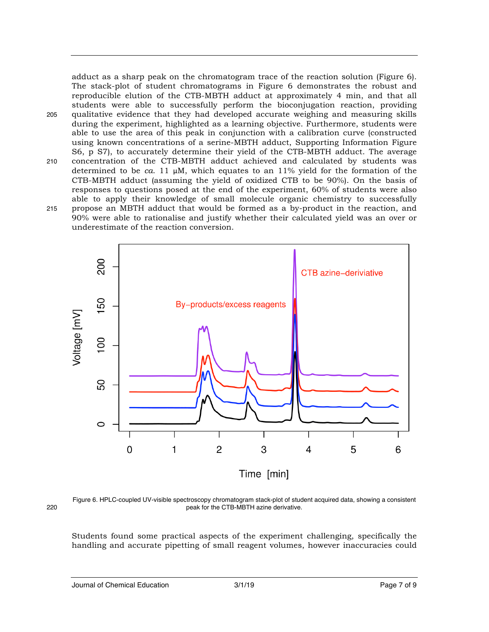adduct as a sharp peak on the chromatogram trace of the reaction solution (Figure 6). The stack-plot of student chromatograms in Figure 6 demonstrates the robust and reproducible elution of the CTB-MBTH adduct at approximately 4 min, and that all students were able to successfully perform the bioconjugation reaction, providing 205 qualitative evidence that they had developed accurate weighing and measuring skills during the experiment, highlighted as a learning objective. Furthermore, students were able to use the area of this peak in conjunction with a calibration curve (constructed using known concentrations of a serine-MBTH adduct, Supporting Information Figure S6, p S7), to accurately determine their yield of the CTB-MBTH adduct. The average 210 concentration of the CTB-MBTH adduct achieved and calculated by students was determined to be *ca*. 11  $\mu$ M, which equates to an 11% yield for the formation of the CTB-MBTH adduct (assuming the yield of oxidized CTB to be 90%). On the basis of responses to questions posed at the end of the experiment, 60% of students were also able to apply their knowledge of small molecule organic chemistry to successfully 215 propose an MBTH adduct that would be formed as a by-product in the reaction, and 90% were able to rationalise and justify whether their calculated yield was an over or underestimate of the reaction conversion.



Figure 6. HPLC-coupled UV-visible spectroscopy chromatogram stack-plot of student acquired data, showing a consistent 220 peak for the CTB-MBTH azine derivative.

Students found some practical aspects of the experiment challenging, specifically the handling and accurate pipetting of small reagent volumes, however inaccuracies could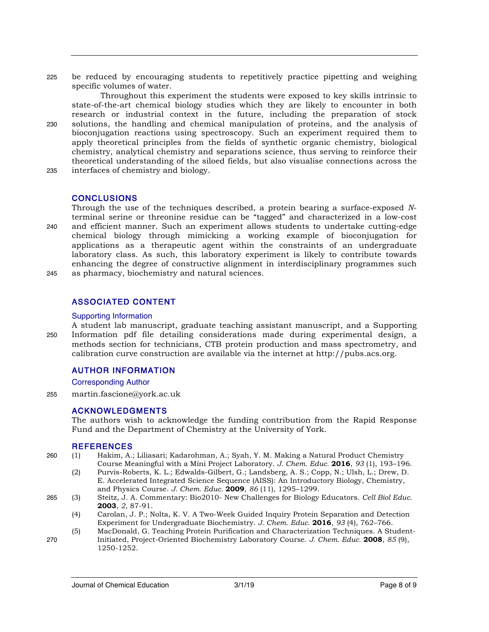225 be reduced by encouraging students to repetitively practice pipetting and weighing specific volumes of water.

Throughout this experiment the students were exposed to key skills intrinsic to state-of-the-art chemical biology studies which they are likely to encounter in both research or industrial context in the future, including the preparation of stock 230 solutions, the handling and chemical manipulation of proteins, and the analysis of bioconjugation reactions using spectroscopy. Such an experiment required them to apply theoretical principles from the fields of synthetic organic chemistry, biological chemistry, analytical chemistry and separations science, thus serving to reinforce their theoretical understanding of the siloed fields, but also visualise connections across the 235 interfaces of chemistry and biology.

## CONCLUSIONS

Through the use of the techniques described, a protein bearing a surface-exposed *N*terminal serine or threonine residue can be "tagged" and characterized in a low-cost 240 and efficient manner. Such an experiment allows students to undertake cutting-edge chemical biology through mimicking a working example of bioconjugation for applications as a therapeutic agent within the constraints of an undergraduate laboratory class. As such, this laboratory experiment is likely to contribute towards enhancing the degree of constructive alignment in interdisciplinary programmes such 245 as pharmacy, biochemistry and natural sciences.

# ASSOCIATED CONTENT

#### Supporting Information

A student lab manuscript, graduate teaching assistant manuscript, and a Supporting 250 Information pdf file detailing considerations made during experimental design, a methods section for technicians, CTB protein production and mass spectrometry, and calibration curve construction are available via the internet at http://pubs.acs.org.

# AUTHOR INFORMATION

Corresponding Author

255 martin.fascione@york.ac.uk

## ACKNOWLEDGMENTS

The authors wish to acknowledge the funding contribution from the Rapid Response Fund and the Department of Chemistry at the University of York.

## **REFERENCES**

- 260 (1) Hakim, A.; Liliasari; Kadarohman, A.; Syah, Y. M. Making a Natural Product Chemistry Course Meaningful with a Mini Project Laboratory. *J. Chem. Educ.* **2016**, *93* (1), 193–196.
	- (2) Purvis-Roberts, K. L.; Edwalds-Gilbert, G.; Landsberg, A. S.; Copp, N.; Ulsh, L.; Drew, D. E. Accelerated Integrated Science Sequence (AISS): An Introductory Biology, Chemistry, and Physics Course. *J. Chem. Educ.* **2009**, *86* (11), 1295–1299.
- 265 (3) Steitz, J. A. Commentary: Bio2010- New Challenges for Biology Educators. *Cell Biol Educ.* **2003**, *2*, 87-91.
	- (4) Carolan, J. P.; Nolta, K. V. A Two-Week Guided Inquiry Protein Separation and Detection Experiment for Undergraduate Biochemistry. *J. Chem. Educ.* **2016**, *93* (4), 762–766.
- (5) MacDonald, G. Teaching Protein Purification and Characterization Techniques. A Student-270 Initiated, Project-Oriented Biochemistry Laboratory Course. *J. Chem. Educ.* **2008**, *85* (9), 1250-1252.